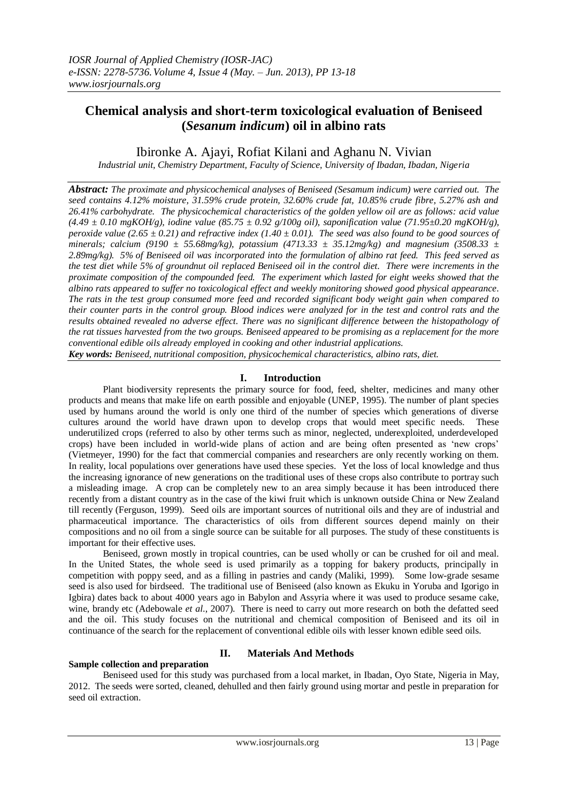# **Chemical analysis and short-term toxicological evaluation of Beniseed (***Sesanum indicum***) oil in albino rats**

# Ibironke A. Ajayi, Rofiat Kilani and Aghanu N. Vivian

*Industrial unit, Chemistry Department, Faculty of Science, University of Ibadan, Ibadan, Nigeria*

*Abstract: The proximate and physicochemical analyses of Beniseed (Sesamum indicum) were carried out. The seed contains 4.12% moisture, 31.59% crude protein, 32.60% crude fat, 10.85% crude fibre, 5.27% ash and 26.41% carbohydrate. The physicochemical characteristics of the golden yellow oil are as follows: acid value (4.49 ± 0.10 mgKOH/g), iodine value (85.75 ± 0.92 g/100g oil), saponification value (71.95±0.20 mgKOH/g), peroxide value (2.65 ± 0.21) and refractive index (1.40 ± 0.01). The seed was also found to be good sources of minerals; calcium (9190 ± 55.68mg/kg), potassium (4713.33 ± 35.12mg/kg) and magnesium (3508.33 ± 2.89mg/kg). 5% of Beniseed oil was incorporated into the formulation of albino rat feed. This feed served as the test diet while 5% of groundnut oil replaced Beniseed oil in the control diet. There were increments in the proximate composition of the compounded feed. The experiment which lasted for eight weeks showed that the albino rats appeared to suffer no toxicological effect and weekly monitoring showed good physical appearance. The rats in the test group consumed more feed and recorded significant body weight gain when compared to their counter parts in the control group. Blood indices were analyzed for in the test and control rats and the results obtained revealed no adverse effect. There was no significant difference between the histopathology of the rat tissues harvested from the two groups. Beniseed appeared to be promising as a replacement for the more conventional edible oils already employed in cooking and other industrial applications.*

*Key words: Beniseed, nutritional composition, physicochemical characteristics, albino rats, diet.*

### **I. Introduction**

Plant biodiversity represents the primary source for food, feed, shelter, medicines and many other products and means that make life on earth possible and enjoyable (UNEP, 1995). The number of plant species used by humans around the world is only one third of the number of species which generations of diverse cultures around the world have drawn upon to develop crops that would meet specific needs. These underutilized crops (referred to also by other terms such as minor, neglected, underexploited, underdeveloped crops) have been included in world-wide plans of action and are being often presented as "new crops" (Vietmeyer, 1990) for the fact that commercial companies and researchers are only recently working on them. In reality, local populations over generations have used these species. Yet the loss of local knowledge and thus the increasing ignorance of new generations on the traditional uses of these crops also contribute to portray such a misleading image. A crop can be completely new to an area simply because it has been introduced there recently from a distant country as in the case of the kiwi fruit which is unknown outside China or New Zealand till recently (Ferguson, 1999). Seed oils are important sources of nutritional oils and they are of industrial and pharmaceutical importance. The characteristics of oils from different sources depend mainly on their compositions and no oil from a single source can be suitable for all purposes. The study of these constituents is important for their effective uses.

 Beniseed, grown mostly in tropical countries, can be used wholly or can be crushed for oil and meal. In the United States, the whole seed is used primarily as a topping for bakery products, principally in competition with poppy seed, and as a filling in pastries and candy (Maliki, 1999). Some low-grade sesame seed is also used for birdseed. The traditional use of Beniseed (also known as Ekuku in Yoruba and Igorigo in Igbira) dates back to about 4000 years ago in Babylon and Assyria where it was used to produce sesame cake, wine, brandy etc (Adebowale *et al*., 2007). There is need to carry out more research on both the defatted seed and the oil. This study focuses on the nutritional and chemical composition of Beniseed and its oil in continuance of the search for the replacement of conventional edible oils with lesser known edible seed oils.

# **Sample collection and preparation**

### **II. Materials And Methods**

Beniseed used for this study was purchased from a local market, in Ibadan, Oyo State, Nigeria in May, 2012. The seeds were sorted, cleaned, dehulled and then fairly ground using mortar and pestle in preparation for seed oil extraction.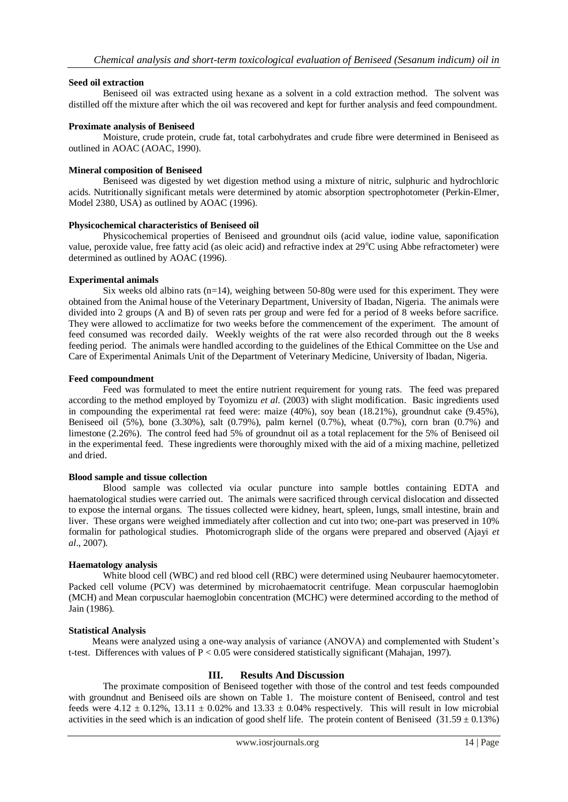#### **Seed oil extraction**

Beniseed oil was extracted using hexane as a solvent in a cold extraction method. The solvent was distilled off the mixture after which the oil was recovered and kept for further analysis and feed compoundment.

#### **Proximate analysis of Beniseed**

Moisture, crude protein, crude fat, total carbohydrates and crude fibre were determined in Beniseed as outlined in AOAC (AOAC, 1990).

#### **Mineral composition of Beniseed**

Beniseed was digested by wet digestion method using a mixture of nitric, sulphuric and hydrochloric acids. Nutritionally significant metals were determined by atomic absorption spectrophotometer (Perkin-Elmer, Model 2380, USA) as outlined by AOAC (1996).

#### **Physicochemical characteristics of Beniseed oil**

Physicochemical properties of Beniseed and groundnut oils (acid value, iodine value, saponification value, peroxide value, free fatty acid (as oleic acid) and refractive index at  $29^{\circ}$ C using Abbe refractometer) were determined as outlined by AOAC (1996).

#### **Experimental animals**

Six weeks old albino rats  $(n=14)$ , weighing between 50-80g were used for this experiment. They were obtained from the Animal house of the Veterinary Department, University of Ibadan, Nigeria. The animals were divided into 2 groups (A and B) of seven rats per group and were fed for a period of 8 weeks before sacrifice. They were allowed to acclimatize for two weeks before the commencement of the experiment. The amount of feed consumed was recorded daily. Weekly weights of the rat were also recorded through out the 8 weeks feeding period. The animals were handled according to the guidelines of the Ethical Committee on the Use and Care of Experimental Animals Unit of the Department of Veterinary Medicine, University of Ibadan, Nigeria.

#### **Feed compoundment**

Feed was formulated to meet the entire nutrient requirement for young rats. The feed was prepared according to the method employed by Toyomizu *et al*. (2003) with slight modification. Basic ingredients used in compounding the experimental rat feed were: maize (40%), soy bean (18.21%), groundnut cake (9.45%), Beniseed oil (5%), bone (3.30%), salt (0.79%), palm kernel (0.7%), wheat (0.7%), corn bran (0.7%) and limestone (2.26%). The control feed had 5% of groundnut oil as a total replacement for the 5% of Beniseed oil in the experimental feed. These ingredients were thoroughly mixed with the aid of a mixing machine, pelletized and dried.

#### **Blood sample and tissue collection**

Blood sample was collected via ocular puncture into sample bottles containing EDTA and haematological studies were carried out. The animals were sacrificed through cervical dislocation and dissected to expose the internal organs. The tissues collected were kidney, heart, spleen, lungs, small intestine, brain and liver. These organs were weighed immediately after collection and cut into two; one-part was preserved in 10% formalin for pathological studies. Photomicrograph slide of the organs were prepared and observed (Ajayi *et al*., 2007).

#### **Haematology analysis**

White blood cell (WBC) and red blood cell (RBC) were determined using Neubaurer haemocytometer. Packed cell volume (PCV) was determined by microhaematocrit centrifuge. Mean corpuscular haemoglobin (MCH) and Mean corpuscular haemoglobin concentration (MCHC) were determined according to the method of Jain (1986).

#### **Statistical Analysis**

 Means were analyzed using a one-way analysis of variance (ANOVA) and complemented with Student"s t-test. Differences with values of P < 0.05 were considered statistically significant (Mahajan, 1997).

### **III. Results And Discussion**

The proximate composition of Beniseed together with those of the control and test feeds compounded with groundnut and Beniseed oils are shown on Table 1. The moisture content of Beniseed, control and test feeds were  $4.12 \pm 0.12\%$ ,  $13.11 \pm 0.02\%$  and  $13.33 \pm 0.04\%$  respectively. This will result in low microbial activities in the seed which is an indication of good shelf life. The protein content of Beniseed (31.59  $\pm$  0.13%)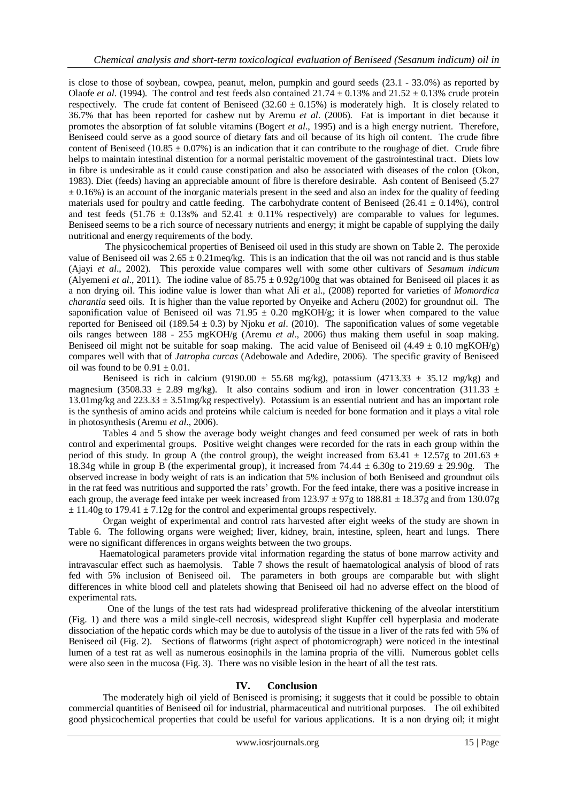is close to those of soybean, cowpea, peanut, melon, pumpkin and gourd seeds (23.1 - 33.0%) as reported by Olaofe *et al.* (1994). The control and test feeds also contained  $21.74 \pm 0.13\%$  and  $21.52 \pm 0.13\%$  crude protein respectively. The crude fat content of Beniseed (32.60  $\pm$  0.15%) is moderately high. It is closely related to 36.7% that has been reported for cashew nut by Aremu *et al*. (2006). Fat is important in diet because it promotes the absorption of fat soluble vitamins (Bogert *et al*., 1995) and is a high energy nutrient. Therefore, Beniseed could serve as a good source of dietary fats and oil because of its high oil content. The crude fibre content of Beniseed (10.85  $\pm$  0.07%) is an indication that it can contribute to the roughage of diet. Crude fibre helps to maintain intestinal distention for a normal peristaltic movement of the gastrointestinal tract. Diets low in fibre is undesirable as it could cause constipation and also be associated with diseases of the colon (Okon, 1983). Diet (feeds) having an appreciable amount of fibre is therefore desirable. Ash content of Beniseed (5.27  $\pm$  0.16%) is an account of the inorganic materials present in the seed and also an index for the quality of feeding materials used for poultry and cattle feeding. The carbohydrate content of Beniseed (26.41  $\pm$  0.14%), control and test feeds  $(51.76 \pm 0.13s\%$  and  $52.41 \pm 0.11\%$  respectively) are comparable to values for legumes. Beniseed seems to be a rich source of necessary nutrients and energy; it might be capable of supplying the daily nutritional and energy requirements of the body.

The physicochemical properties of Beniseed oil used in this study are shown on Table 2. The peroxide value of Beniseed oil was  $2.65 \pm 0.21$  meq/kg. This is an indication that the oil was not rancid and is thus stable (Ajayi *et al*., 2002). This peroxide value compares well with some other cultivars of *Sesamum indicum* (Alyemeni *et al.*, 2011). The iodine value of  $85.75 \pm 0.92g/100g$  that was obtained for Beniseed oil places it as a non drying oil. This iodine value is lower than what Ali *et* al., (2008) reported for varieties of *Momordica charantia* seed oils. It is higher than the value reported by Onyeike and Acheru (2002) for groundnut oil. The saponification value of Beniseed oil was 71.95  $\pm$  0.20 mgKOH/g; it is lower when compared to the value reported for Beniseed oil (189.54 ± 0.3) by Njoku *et al*. (2010). The saponification values of some vegetable oils ranges between 188 - 255 mgKOH/g (Aremu *et al*., 2006) thus making them useful in soap making. Beniseed oil might not be suitable for soap making. The acid value of Beniseed oil  $(4.49 \pm 0.10 \text{ mgKOH/g})$ compares well with that of *Jatropha curcas* (Adebowale and Adedire, 2006). The specific gravity of Beniseed oil was found to be  $0.91 \pm 0.01$ .

Beniseed is rich in calcium (9190.00  $\pm$  55.68 mg/kg), potassium (4713.33  $\pm$  35.12 mg/kg) and magnesium (3508.33  $\pm$  2.89 mg/kg). It also contains sodium and iron in lower concentration (311.33  $\pm$ 13.01mg/kg and 223.33 ± 3.51mg/kg respectively). Potassium is an essential nutrient and has an important role is the synthesis of amino acids and proteins while calcium is needed for bone formation and it plays a vital role in photosynthesis (Aremu *et al*., 2006).

Tables 4 and 5 show the average body weight changes and feed consumed per week of rats in both control and experimental groups. Positive weight changes were recorded for the rats in each group within the period of this study. In group A (the control group), the weight increased from 63.41  $\pm$  12.57g to 201.63  $\pm$ 18.34g while in group B (the experimental group), it increased from  $74.44 \pm 6.30$ g to  $219.69 \pm 29.90$ g. The observed increase in body weight of rats is an indication that 5% inclusion of both Beniseed and groundnut oils in the rat feed was nutritious and supported the rats" growth. For the feed intake, there was a positive increase in each group, the average feed intake per week increased from  $123.97 \pm 97$ g to  $188.81 \pm 18.37$ g and from  $130.07$ g  $\pm$  11.40g to 179.41  $\pm$  7.12g for the control and experimental groups respectively.

Organ weight of experimental and control rats harvested after eight weeks of the study are shown in Table 6. The following organs were weighed; liver, kidney, brain, intestine, spleen, heart and lungs. There were no significant differences in organs weights between the two groups.

 Haematological parameters provide vital information regarding the status of bone marrow activity and intravascular effect such as haemolysis. Table 7 shows the result of haematological analysis of blood of rats fed with 5% inclusion of Beniseed oil. The parameters in both groups are comparable but with slight differences in white blood cell and platelets showing that Beniseed oil had no adverse effect on the blood of experimental rats.

One of the lungs of the test rats had widespread proliferative thickening of the alveolar interstitium (Fig. 1) and there was a mild single-cell necrosis, widespread slight Kupffer cell hyperplasia and moderate dissociation of the hepatic cords which may be due to autolysis of the tissue in a liver of the rats fed with 5% of Beniseed oil (Fig. 2). Sections of flatworms (right aspect of photomicrograph) were noticed in the intestinal lumen of a test rat as well as numerous eosinophils in the lamina propria of the villi. Numerous goblet cells were also seen in the mucosa (Fig. 3). There was no visible lesion in the heart of all the test rats.

#### **IV. Conclusion**

The moderately high oil yield of Beniseed is promising; it suggests that it could be possible to obtain commercial quantities of Beniseed oil for industrial, pharmaceutical and nutritional purposes. The oil exhibited good physicochemical properties that could be useful for various applications. It is a non drying oil; it might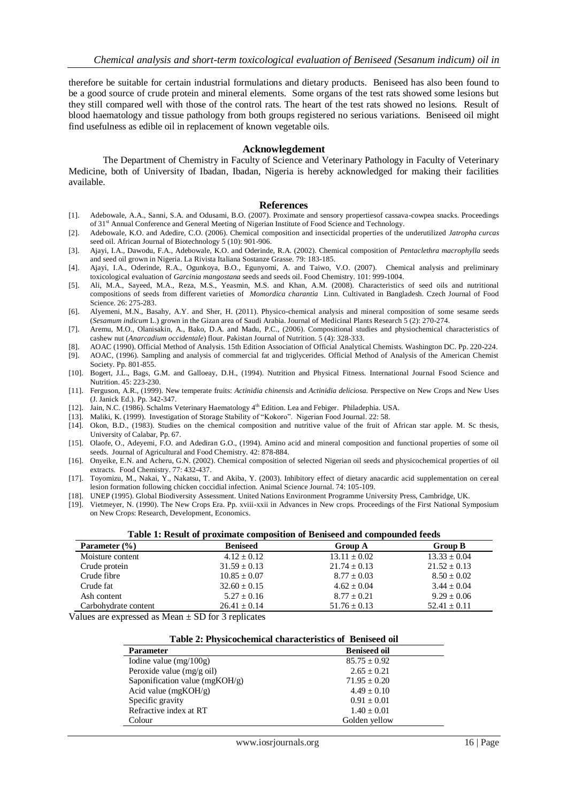therefore be suitable for certain industrial formulations and dietary products. Beniseed has also been found to be a good source of crude protein and mineral elements. Some organs of the test rats showed some lesions but they still compared well with those of the control rats. The heart of the test rats showed no lesions. Result of blood haematology and tissue pathology from both groups registered no serious variations. Beniseed oil might find usefulness as edible oil in replacement of known vegetable oils.

#### **Acknowlegdement**

The Department of Chemistry in Faculty of Science and Veterinary Pathology in Faculty of Veterinary Medicine, both of University of Ibadan, Ibadan, Nigeria is hereby acknowledged for making their facilities available.

#### **References**

- [1]. Adebowale, A.A., Sanni, S.A. and Odusami, B.O. (2007). Proximate and sensory propertiesof cassava-cowpea snacks. Proceedings of 31<sup>st</sup> Annual Conference and General Meeting of Nigerian Institute of Food Science and Technology.
- [2]. Adebowale, K.O. and Adedire, C.O. (2006). Chemical composition and insecticidal properties of the underutilized *Jatropha curcas*  seed oil. African Journal of Biotechnology 5 (10): 901-906.
- [3]. Ajayi, I.A., Dawodu, F.A., Adebowale, K.O. and Oderinde, R.A. (2002). Chemical composition of *Pentaclethra macrophylla* seeds and seed oil grown in Nigeria. La Rivista Italiana Sostanze Grasse. 79: 183-185.
- [4]. Ajayi*,* I.A., Oderinde, R.A., Ogunkoya, B.O., Egunyomi, A. and Taiwo, V.O. (2007). Chemical analysis and preliminary toxicological evaluation of *Garcinia mangostana* seeds and seeds oil. Food Chemistry. 101: 999-1004.
- [5]. Ali, M.A., Sayeed, M.A., Reza, M.S., Yeasmin, M.S. and Khan, A.M. (2008). Characteristics of seed oils and nutritional compositions of seeds from different varieties of *Momordica charantia* Linn. Cultivated in Bangladesh. Czech Journal of Food Science. 26: 275-283.
- [6]. Alyemeni, M.N., Basahy, A.Y. and Sher, H. (2011). Physico-chemical analysis and mineral composition of some sesame seeds (*Sesamum indicum* L.) grown in the Gizan area of Saudi Arabia. Journal of Medicinal Plants Research 5 (2): 270-274.
- [7]. Aremu, M.O., Olanisakin, A., Bako, D.A. and Madu, P.C., (2006). Compositional studies and physiochemical characteristics of cashew nut (*Anarcadium occidentale*) flour. Pakistan Journal of Nutrition. 5 (4): 328-333.
- [8]. AOAC (1990). Official Method of Analysis. 15th Edition Association of Official Analytical Chemists. Washington DC. Pp. 220-224.
- [9]. AOAC, (1996). Sampling and analysis of commercial fat and triglycerides. Official Method of Analysis of the American Chemist Society. Pp. 801-855.
- [10]. Bogert, J.L., Bags, G.M. and Galloeay, D.H., (1994). Nutrition and Physical Fitness. International Journal Fsood Science and Nutrition. 45: 223-230.
- [11]. Ferguson, A.R., (1999). New temperate fruits: *Actinidia chinensis* and *Actinidia deliciosa.* Perspective on New Crops and New Uses (J. Janick Ed.). Pp. 342-347.
- [12]. Jain, N.C. (1986). Schalms Veterinary Haematology 4<sup>th</sup> Edition. Lea and Febiger. Philadephia. USA.
- [13]. Maliki, K. (1999). Investigation of Storage Stability of "Kokoro". Nigerian Food Journal. 22: 58.
- [14]. Okon, B.D., (1983). Studies on the chemical composition and nutritive value of the fruit of African star apple. M. Sc thesis, University of Calabar, Pp. 67.
- [15]. Olaofe, O., Adeyemi, F.O. and Adediran G.O., (1994). Amino acid and mineral composition and functional properties of some oil seeds. Journal of Agricultural and Food Chemistry. 42: 878-884.
- [16]. Onyeike, E.N. and Acheru, G.N. (2002). Chemical composition of selected Nigerian oil seeds and physicochemical properties of oil extracts. Food Chemistry. 77: 432-437.
- [17]. Toyomizu, M., Nakai, Y., Nakatsu, T. and Akiba, Y. (2003). Inhibitory effect of dietary anacardic acid supplementation on cereal lesion formation following chicken coccidial infection. Animal Science Journal. 74: 105-109.
- [18]. UNEP (1995). Global Biodiversity Assessment. United Nations Environment Programme University Press, Cambridge, UK.
- [19]. Vietmeyer, N. (1990). The New Crops Era. Pp. xviii-xxii in Advances in New crops. Proceedings of the First National Symposium on New Crops: Research, Development, Economics.

| Table 1: Result of proximate composition of Beniseed and compounded feeds |                  |                  |
|---------------------------------------------------------------------------|------------------|------------------|
| <b>Beniseed</b>                                                           | <b>Group A</b>   | <b>Group B</b>   |
| $4.12 + 0.12$                                                             | $13.11 \pm 0.02$ | $13.33 \pm 0.04$ |
| $31.59 \pm 0.13$                                                          | $21.74 \pm 0.13$ | $21.52 \pm 0.13$ |
| $10.85 \pm 0.07$                                                          | $8.77 \pm 0.03$  | $8.50 \pm 0.02$  |
| $32.60 \pm 0.15$                                                          | $4.62 \pm 0.04$  | $3.44 \pm 0.04$  |
| $5.27 \pm 0.16$                                                           | $8.77 + 0.21$    | $9.29 + 0.06$    |
| $26.41 \pm 0.14$                                                          | $51.76 \pm 0.13$ | $52.41 \pm 0.11$ |
|                                                                           |                  |                  |

Values are expressed as Mean  $\pm$  SD for 3 replicates

| Table 2: Physicochemical characteristics of Beniseed oil |                  |  |
|----------------------------------------------------------|------------------|--|
| <b>Beniseed oil</b><br><b>Parameter</b>                  |                  |  |
| Iodine value (mg/100g)                                   | $85.75 \pm 0.92$ |  |
| Peroxide value $(mg/g \text{ oil})$                      | $2.65 \pm 0.21$  |  |
| Saponification value (mgKOH/g)                           | $71.95 \pm 0.20$ |  |
| Acid value ( $mgKOH/g$ )                                 | $4.49 + 0.10$    |  |
| Specific gravity                                         | $0.91 + 0.01$    |  |
| Refractive index at RT                                   | $1.40 \pm 0.01$  |  |
| Colour                                                   | Golden yellow    |  |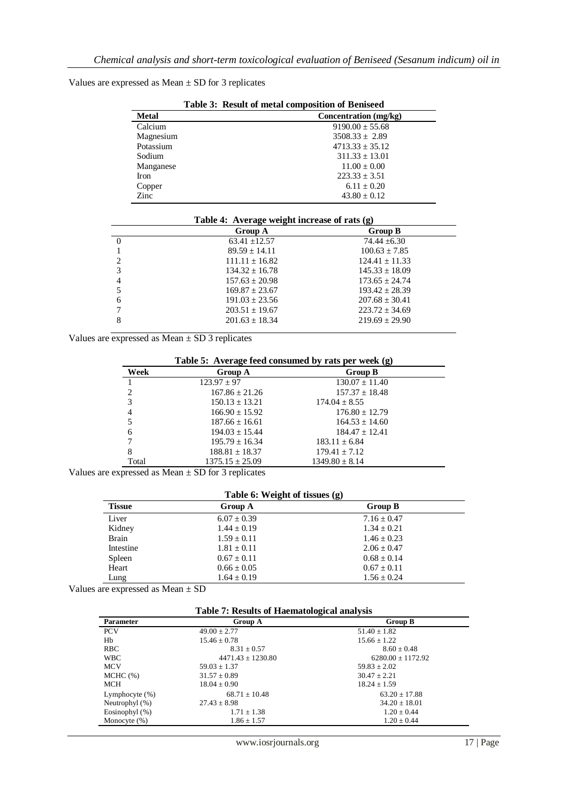Values are expressed as Mean  $\pm$  SD for 3 replicates

| Table 3: Result of metal composition of Beniseed |                       |  |
|--------------------------------------------------|-----------------------|--|
| <b>Metal</b>                                     | Concentration (mg/kg) |  |
| Calcium                                          | $9190.00 \pm 55.68$   |  |
| Magnesium                                        | $3508.33 \pm 2.89$    |  |
| Potassium                                        | $4713.33 + 35.12$     |  |
| Sodium                                           | $311.33 + 13.01$      |  |
| Manganese                                        | $11.00 \pm 0.00$      |  |
| <b>Iron</b>                                      | $223.33 + 3.51$       |  |
| Copper                                           | $6.11 + 0.20$         |  |
| Zinc                                             | $43.80 + 0.12$        |  |

|                | Manganese |                                                | $11.00 \pm 0.00$   |  |
|----------------|-----------|------------------------------------------------|--------------------|--|
|                | Iron      |                                                | $223.33 \pm 3.51$  |  |
|                | Copper    |                                                | $6.11 \pm 0.20$    |  |
|                | Zinc      |                                                | $43.80 \pm 0.12$   |  |
|                |           |                                                |                    |  |
|                |           | Table 4: Average weight increase of rats $(g)$ |                    |  |
|                |           | Group A                                        | <b>Group B</b>     |  |
| $\theta$       |           | $63.41 \pm 12.57$                              | $74.44 \pm 6.30$   |  |
|                |           | $89.59 \pm 14.11$                              | $100.63 \pm 7.85$  |  |
|                |           |                                                |                    |  |
| $\overline{c}$ |           | $111.11 \pm 16.82$                             | $124.41 \pm 11.33$ |  |

| $157.63 \pm 20.98$ | $173.65 + 24.74$ |
|--------------------|------------------|
| $169.87 + 23.67$   | $193.42 + 28.39$ |
| $191.03 + 23.56$   | $207.68 + 30.41$ |
| $203.51 \pm 19.67$ | $223.72 + 34.69$ |
| $201.63 \pm 18.34$ | $219.69 + 29.90$ |
|                    |                  |

Values are expressed as Mean  $\pm$  SD 3 replicates

| Table 5: Average feed consumed by rats per week (g) |                     |                    |  |
|-----------------------------------------------------|---------------------|--------------------|--|
| Week                                                | Group A             | <b>Group B</b>     |  |
|                                                     | $123.97 \pm 97$     | $130.07 \pm 11.40$ |  |
| $\overline{c}$                                      | $167.86 \pm 21.26$  | $157.37 \pm 18.48$ |  |
| 3                                                   | $150.13 \pm 13.21$  | $174.04 \pm 8.55$  |  |
| 4                                                   | $166.90 \pm 15.92$  | $176.80 \pm 12.79$ |  |
|                                                     | $187.66 \pm 16.61$  | $164.53 \pm 14.60$ |  |
| 6                                                   | $194.03 \pm 15.44$  | $184.47 + 12.41$   |  |
|                                                     | $195.79 \pm 16.34$  | $183.11 \pm 6.84$  |  |
| 8                                                   | $188.81 \pm 18.37$  | $179.41 \pm 7.12$  |  |
| Total                                               | $1375.15 \pm 25.09$ | $1349.80 \pm 8.14$ |  |

Values are expressed as Mean  $\pm$  SD for 3 replicates

| Table 6: Weight of tissues (g) |  |
|--------------------------------|--|
|--------------------------------|--|

| <b>Tissue</b> | Group A         | <b>Group B</b>  |  |
|---------------|-----------------|-----------------|--|
| Liver         | $6.07 \pm 0.39$ | $7.16 \pm 0.47$ |  |
| Kidney        | $1.44 + 0.19$   | $1.34 \pm 0.21$ |  |
| <b>Brain</b>  | $1.59 \pm 0.11$ | $1.46 \pm 0.23$ |  |
| Intestine     | $1.81 + 0.11$   | $2.06 + 0.47$   |  |
| Spleen        | $0.67 \pm 0.11$ | $0.68 \pm 0.14$ |  |
| Heart         | $0.66 \pm 0.05$ | $0.67 \pm 0.11$ |  |
| Lung          | $1.64 \pm 0.19$ | $1.56 \pm 0.24$ |  |

Values are expressed as Mean ± SD

#### **Table 7: Results of Haematological analysis**

| <b>Parameter</b>  | Group A               | <b>Group B</b>        |
|-------------------|-----------------------|-----------------------|
| <b>PCV</b>        | $49.00 \pm 2.77$      | $51.40 \pm 1.82$      |
| Hb                | $15.46 \pm 0.78$      | $15.66 \pm 1.22$      |
| <b>RBC</b>        | $8.31 \pm 0.57$       | $8.60 \pm 0.48$       |
| <b>WBC</b>        | $4471.43 \pm 1230.80$ | $6280.00 \pm 1172.92$ |
| <b>MCV</b>        | $59.03 \pm 1.37$      | $59.83 \pm 2.02$      |
| $MCHC$ $(\%)$     | $31.57 \pm 0.89$      | $30.47 \pm 2.21$      |
| <b>MCH</b>        | $18.04 \pm 0.90$      | $18.24 \pm 1.59$      |
| Lymphocyte $(\%)$ | $68.71 + 10.48$       | $63.20 \pm 17.88$     |
| Neutrophyl (%)    | $27.43 \pm 8.98$      | $34.20 \pm 18.01$     |
| Eosinophyl $(\%)$ | $1.71 \pm 1.38$       | $1.20 \pm 0.44$       |
| Monocyte $(\%)$   | $1.86 \pm 1.57$       | $1.20 \pm 0.44$       |